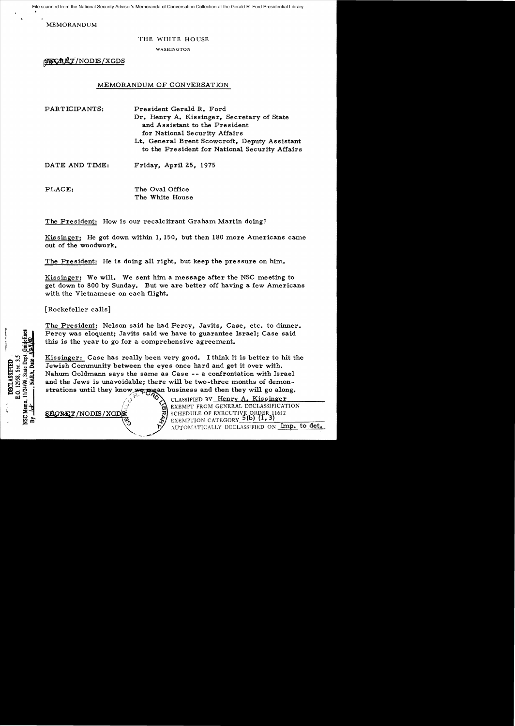File scanned from the National Security Adviser's Memoranda of Conversation Collection at the Gerald R. Ford Presidential Library

MEMORANDUM

### THE WHITE HOUSE

WASHINGTON

**SUCREY**/NODIS/XGDS

# MEMORANDUM OF CONVERSATION

PARTICIPANTS: President Gerald R. Ford Dr. Henry A. Kissinger, Secretary of State and Assistant to the President for National Security Affairs Lt. General Brent Scowcroft, Deputy Assistant to the President for National Security Affairs

DATE AND TIME: Friday, April 25, 1975

PLACE: The Oval Office The White House

The President: How is our recalcitrant Graham Martin doing?

Kissinger: He got down within 1,150, but then 180 more Americans came out of the woodwork.

The President: He is doing all right, but keep the pressure on him.

Kissinger: We will. We sent him a message after the NSC meeting to get down to 800 by Sunday. But we are better off having a few Americans with the Vietnamese on each flight.

[Rockefeller calls]

The President: Nelson said he had Percy, Javits, Case, etc. to dinner. Percy was eloquent; Javits said we have to guarantee Israel; Case said this is the year to go for a comprehensive agreement.

Kissinger: Case has really been very good. I think it is better to hit the Jewish Community between the eyes once hard and get it over with. Nahum Goldmann says the same as Case - - a confrontation with Israel and the Jews is unavoidable; there will be two-three months of demonstrations until they know we recan business and then they will go along.

CLASSIFIED BY Henry A. Kissinger EXEMPT FROM GENERAL DECLASSIFICATION<br>SCHEDULE OF EXECUTIVE ORDER 11652  $\frac{36}{11}$  SCHEDULE OF EXECUTIVE ORDER 1<br> $\frac{3}{10}$  exemption category 5(b) (1, 3) AUTOMATICALLY DECLASSIFIED ON Imp. to det.

11/24/98, State Dep .O. 12958, Sec. 3. **DECLASSIFIED** Memo.  $\hat{\mathbf{X}}$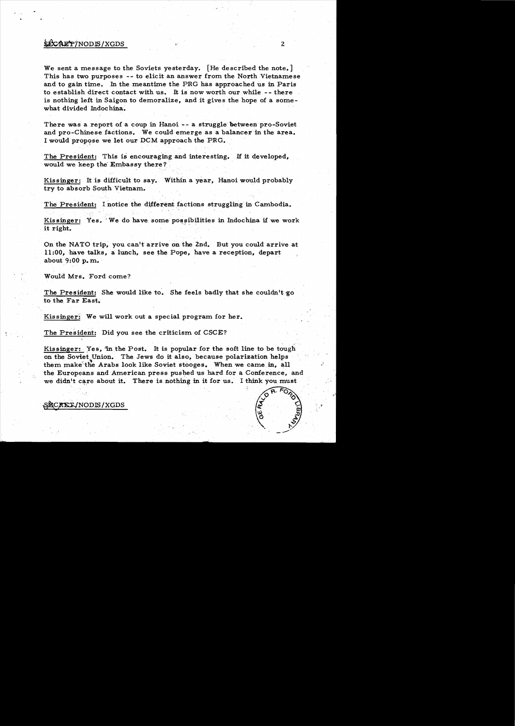## ~NODlS/XGDS 2

We sent a message to the Soviets yesterday. [He described the note.] This has two purposes -- to elicit an answer from the North Vietnamese and to gain time. In the meantime the PRG has approached us in Paris to establish direct contact with us. It is now worth our while -- there is nothing left in Saigon to demoralize, and it gives the hope of a somewhat divided Indochina.

There was a report of a coup in Hanoi - a struggle' between pro-Soviet and pro-Chinese factions. We could emerge as a balancer in the area. I would propose we let our DCM approach the PRG.

The President: This is encouraging and interesting. If it developed, would we keep the Embassy there?

Kissinger: It ie difficult to say. Within a year, Hanoi would probably try to absorb South Vietnam..

The President: I notice the different factions struggling in Cambodia.

Kissinger: Yes. We do have some possibilities in Indochina if we work it right.

On the NATO trip, you can't arrive on the 2nd. But you could arrive at 11:00, have talks. a lunch. see the Pope, have a reception. depart about  $9:00$  p.m.

Would Mrs. Ford come?

" '!..

The President: She would like to. She feels badly that she couldn't go to the Far East.

Kissinger: We will work out a special program for her.

The President: Did you see the criticism of CSCE?

Kissinger: Yes, "in the Post. It is popular for the soft line to be tough on the Soviet Union. The Jews do it also, because polarization helps them make the Arabs look like Soviet stooges. When we came in, all the Europeans and American press pushed us hard for a Conference, and we didn't care about it. There is nothing in it for us. I think you must



~C~NODlS/XGDS **•**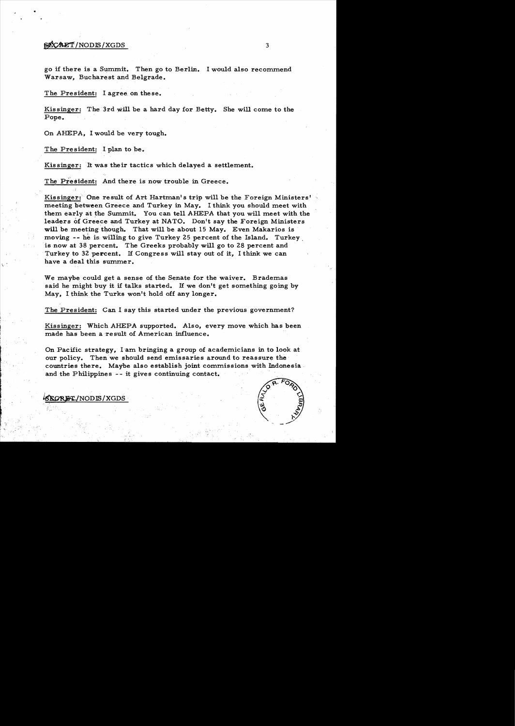### $\mathcal{B}\mathcal{C}\mathcal{A}\mathcal{L}\mathcal{T}/\text{NODIS}/\text{XGDS}$  3

•

go if there is a Summit. Then go to Berlin. I would also recommend Warsaw, Bucharest and Belgrade.

The President: I agree on these.

Kissinger: The 3rd will be a hard day for Betty. She will come to the Pope.

On AHEPA, I would be very tough.

The President: I plan to be.

Kissinger: It was their tactics which delayed a settlement.

The President: And there is now trouble in Greece.

Kissinger: One result of Art Hartman's trip will be the Foreign Ministers" meeting between Greece and Turkey in May. I think you should meet with them early at the Summit. You can tell AHEPA that you will meet with the leaders of Greece and Turkey at NATO. Don't say the Foreign Ministers will be meeting though. That will be about 15 May. Even Makarios is moving  $-$ - he is willing to give Turkey 25 percent of the Island. Turkey. is now at 38 percent. The Greeks probably will go to 28 percent and .Turkey to 32 percent. If Congress will stay out of it, I think we can have a deal this summer.

We maybe could get a sense of the Senate for the waiver. Brademas said he might buy it if talks started. If we don't get something going by May, I think the Turks won't hold off any longer.

The President: Can I say this started under the previous government?

Kissinger: Which AHEPA supported. Also, every move which has been made has been a result of American influence.

On Pacific strategy, I am bringing a group of academicians in to look at our policy. Then we should send emissaries around to reassure the countries there. Maybe also establish joint commissions with Indonesia and the Philippines -- it gives continuing contact.



 $~$ SEGRET/NODIS/XGDS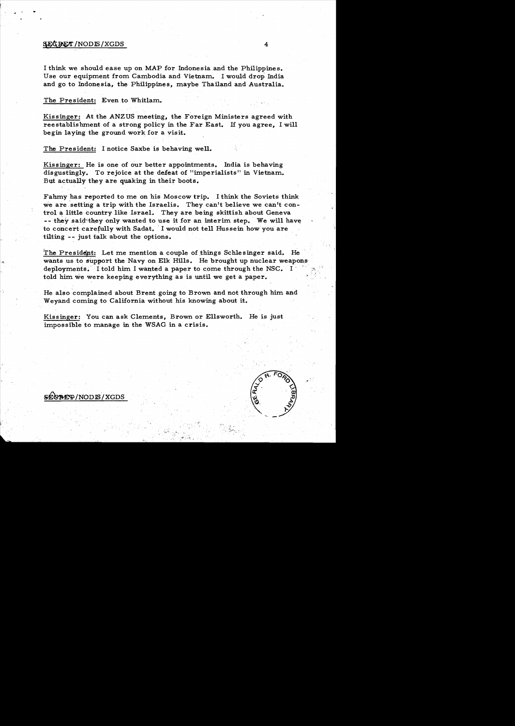#### $~4$   $~4$

 $$E$ CRET/NODIS/XGDS

I think we should ease up on MAP for Indonesia and the Philippines. Use our equipment from Cambodia and Vietnam. I would drop India and go to Indonesia, the Philippines, maybe Thailand and Australia.

#### The President: Even to Whitlam..

Kissinger: At the ANZUS meeting, the Foreign Ministers agreed with reestablishment of a strong policy in the Far East. If you agree, I will begin laying the ground work for a visit.

The President: I notice Saxbe is behaving well.

Kissinger: He is one of our better appointments. India is behaving disgustingly. To rejoice at the defeat of "imperialists" in Vietnam. But actually they are quaking in their boots.

Fahmy has reported to me on his Moscow trip. I think the Soviets think we are, setting a trip with the Israelis. They can't believe we can't control a little country like Israel. They are being skittish about Geneva  $--$  they said they only wanted to use it for an interim step. We will have to concert carefully with Sadat. I would not tell Hussein how you are tilting -- just talk about the options.

The President: Let me mention a couple of things Schlesinger said. He wants us to support the Navy on Elk Hills. He brought up nuclear weapons deployments. I told him I wanted a paper to come through the NSC. I told him. we were keeping everything as is until we get a paper.

> He also complained about Brent going to Brown and not through him and Weyand coming to California without his knowing about it.

Kissinger: You can ask Clements, Brown or Ellsworth. He is just impossible to manage in the WSAG in a crisis.

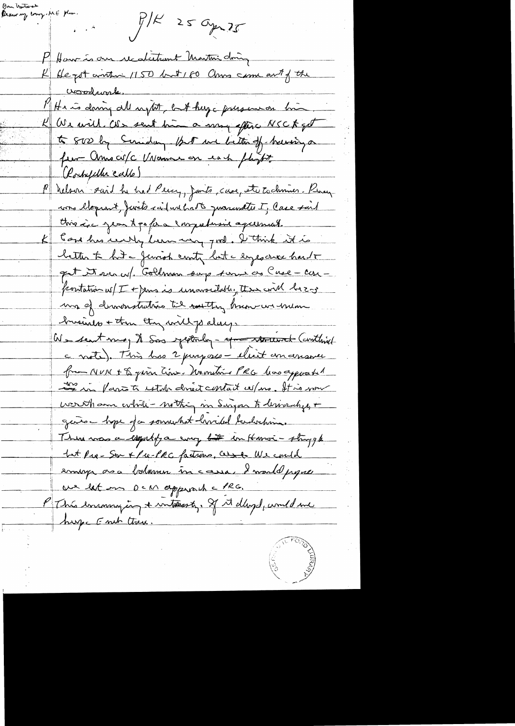Ban Unitorst Mar.<br>Please my court . ME Mar.  $P/K$  25 apr 25 P Have is our recolutiont Martin doing K Hegot anthin 1150 but 160 China come and of the voordurale. PH e is doing all ingtot, but huge pressure in K We will als sent him a more efter NSCK for to 800 by Sunday. But we better of having a fun Americ Vivanne en each plant P nelson said he had Pein, Jants, case, et to chosen Percy cons eloquent, junto raid un batte quaranttes I, Case suit this i.e jean t po for a comprehasive agreement. took has undly been using good. I think it is better to hit a Jewish contry but a expositive hard of get it reach Goldman surp tomi as Cuse - can positation w/ I + Jens is unavoidable, there will be z-z ma of dimonstrutions til mutting know we him busines + then they will palacy. We sent meg to Sas yesterday - me remainder (conthist c note). This has 2 purposes - elient emanamer from NUN + & given time. Unomitive PRG has apposented Le vi fart test at dréit contait es/no. It is nou werth am while - nothing in Singar to lerivarity + gaños hope da somment hvided talvetina. This was a countof a coup for in Hanoi - strygk but Pur-Son x Pre-PRC factions, cesse We could emige as a balance in cassa, I would proper we let our DCM approved a PRG. P This encounting in a untercenting. If it dlingd, would me huy Emb there.

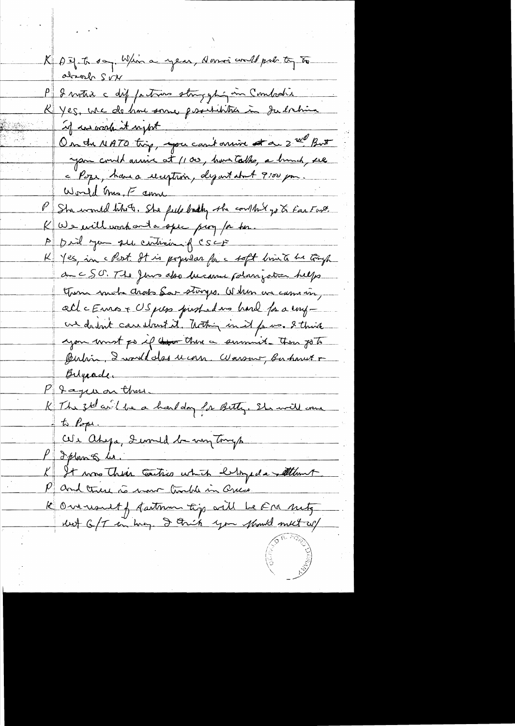K Det to say Whin a year, domoi would put to to absorb SVN P & votre c dif patrons stragghing in Combodie K Yes, we do home some positivitier à Judochina if in work it upot On the NATO trip, you can't arrive at a 2 ml But you could arrive at 1100, hour talke, a hunch, see c Pope, have a reception, departato 4 9:00 pm. PSha would like of She feels badly the couldn't go to fact and. K We will work ont a spec pery for her. A pril you see centricie of CSCF Yes, in cPost. It is popular for a soft bin to be truck au CSO. The Jews also because polonization helps Turn mote choses Sar storges. When we cam in, all cEnnos + US pers pressadans hard for a engwe do but care start it. That in it for wo. I think you must go if the charace summit then go to Butin, I would doe ucom Warsons, Bu havet + Belgaade. P Jague on these<br>K The zte avid be a head day for Betty. She will come  $t$   $\rho_{opt}$ . CVI ahya, Immedia my Tonys P I plan & les. It was their carties which belonged a tellunt and there is more trackle in Queck K Overwoult f fartnem tig will be Fra mity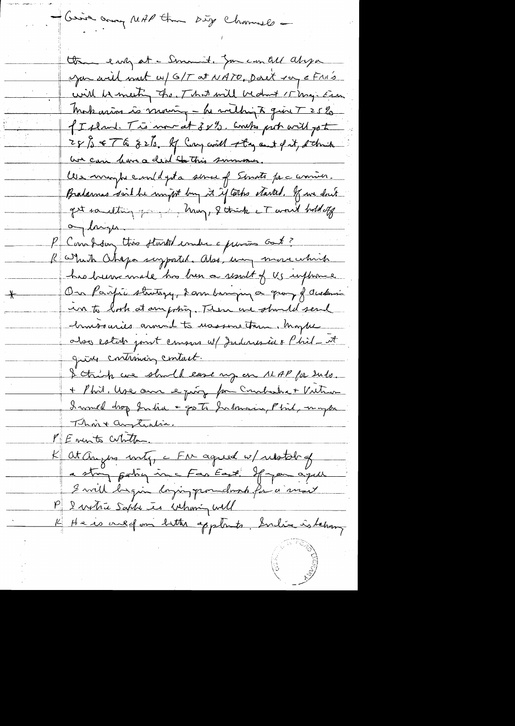- Gerica any MAP than Dig Channels -

the early at - Smant, Jan can all alopa you will must w/ G/T at NATO, Don't ray & FM's will be meeting the That will bedont I may Era Makarin à moin, - Le mething à qu'il 7 25 % I I sland. This more at 3 x 92. Combs prob will go to 28 / 8 F & 8 2/s. If Cay will stay out of it, s this we can have a deal to this summer. Ces maybe employeta serve of Senate para commen. Bradamas said he might buy it if tothe started. If we don't get something going, I think it would build up on laigu. Combing this flashed under a primer cont? R Which Chepa suzported. Also, un more which has been made his been a result of Us influence On Parfie strategy, 2 ans banque a group of Austinia un to look at anywhig. Then are should send chursouries annual to wassing trun, happe also estato point consus w/ Indonesia & Phil\_ it give continuing contact. I think we should ease up on 11AP for 2ndo. + Phil. Use our le princ for Combatre + Vutron I would drop India + go to Indonesia, Phil, maybe Thoix anytichia. PENITE Cubita Kat anyws unty, a FM agreed w/ relation of a strong porting in a Far East. If you agus I will begin dozing poundwich for a most P I vertre Sapta es Whanig Will K He is oned om bitter applients, India is behang